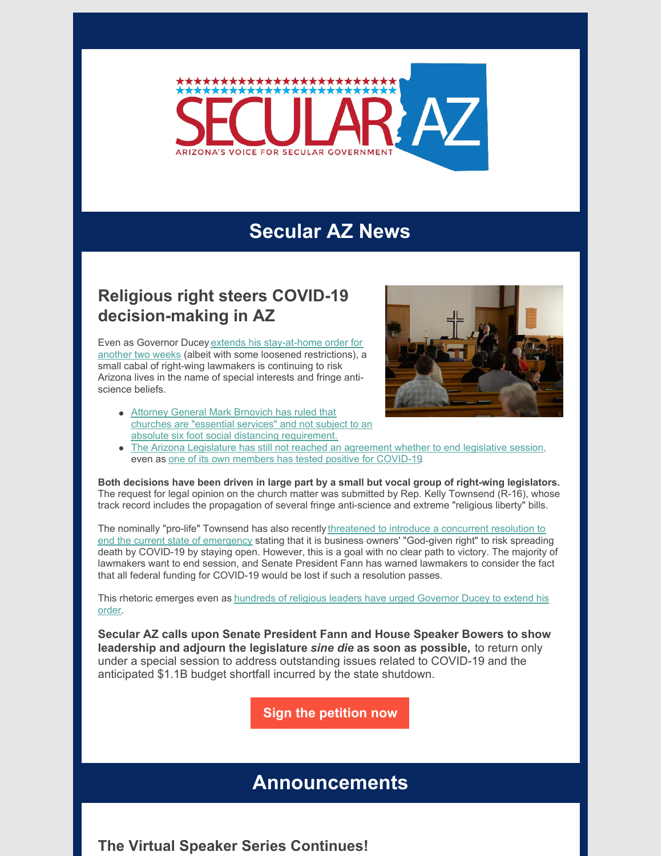

## **Secular AZ News**

## **Religious right steers COVID-19 decision-making in AZ**

Even as Governor Ducey extends his [stay-at-home](https://www.msn.com/en-us/news/us/ducey-extends-stay-at-home-order-through-may-15-but-eases-some-restrictions-on-businesses/ar-BB13o8NP) order for another two weeks (albeit with some loosened restrictions), a small cabal of right-wing lawmakers is continuing to risk Arizona lives in the name of special interests and fringe antiscience beliefs.

Attorney General Mark Brnovich has ruled that churches are "essential services" and not subject to an absolute six foot social distancing [requirement.](https://legalnewsline.com/stories/534828806-churches-are-essential-during-pandemic-arizona-attorney-general-rules)



• The Arizona [Legislature](https://www.knau.org/post/plan-arizona-legislature-meet-called) has still not reached an agreement whether to end legislative session, even as one of its own members has tested positive for [COVID-19](https://www.12news.com/article/news/local/arizona/state-senator-lupe-contreras-and-5-other-family-members-test-positive-for-covid-19/75-9d31be51-b41e-4868-90d1-dbbfdee41bf2).

**Both decisions have been driven in large part by a small but vocal group of right-wing legislators.** The request for legal opinion on the church matter was submitted by Rep. Kelly Townsend (R-16), whose track record includes the propagation of several fringe anti-science and extreme "religious liberty" bills.

The nominally "pro-life" Townsend has also recently threatened to introduce a concurrent resolution to end the current state of emergency stating that it is business owners' "God-given right" to risk spreading death by COVID-19 by staying open. However, this is a goal with no clear path to victory. The majority of lawmakers want to end session, and Senate President Fann has warned lawmakers to consider the fact that all federal funding for COVID-19 would be lost if such a resolution passes.

This rhetoric emerges even as [hundreds](https://kjzz.org/content/1547661/religious-leaders-urge-ducey-extend-stay-home-order) of religious leaders have urged Governor Ducey to extend his order.

**Secular AZ calls upon Senate President Fann and House Speaker Bowers to show leadership and adjourn the legislature** *sine die* **as soon as possible,** to return only under a special session to address outstanding issues related to COVID-19 and the anticipated \$1.1B budget shortfall incurred by the state shutdown.

**Sign the [petition](https://p2a.co/Z7Xtk3p) now**

## **Announcements**

**The Virtual Speaker Series Continues!**